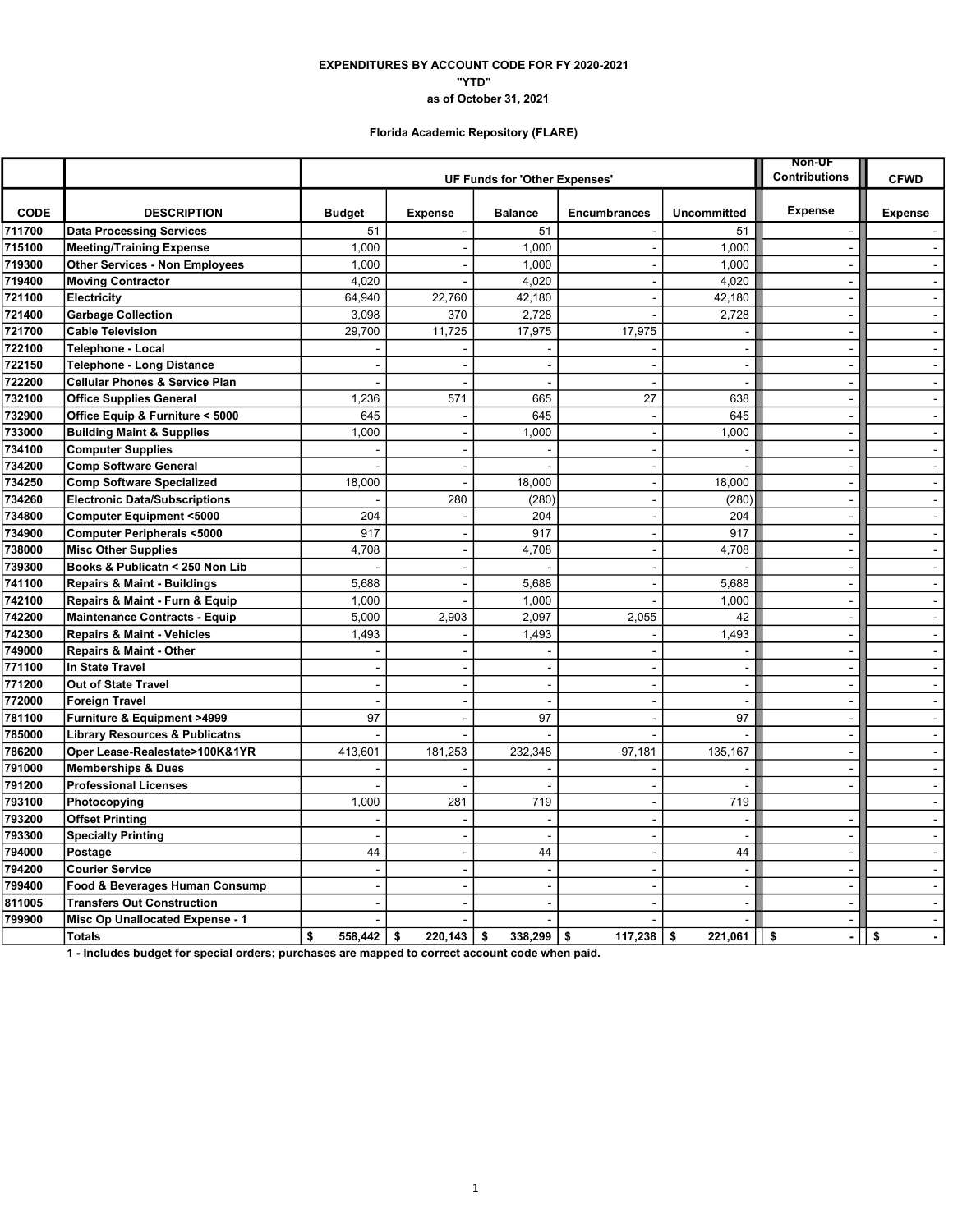### EXPENDITURES BY ACCOUNT CODE FOR FY 2020-2021 "YTD" as of October 31, 2021

# Florida Academic Repository (FLARE)

|             |                                           | <b>Non-UF</b><br><b>UF Funds for 'Other Expenses'</b> |                          |                      |                          |                          |                      |                             |
|-------------|-------------------------------------------|-------------------------------------------------------|--------------------------|----------------------|--------------------------|--------------------------|----------------------|-----------------------------|
|             |                                           |                                                       |                          | <b>Contributions</b> | <b>CFWD</b>              |                          |                      |                             |
| <b>CODE</b> | <b>DESCRIPTION</b>                        | <b>Budget</b>                                         | <b>Expense</b>           | <b>Balance</b>       | <b>Encumbrances</b>      | <b>Uncommitted</b>       | Expense              | <b>Expense</b>              |
| 711700      | <b>Data Processing Services</b>           | 51                                                    |                          | 51                   |                          | 51                       |                      |                             |
| 715100      | <b>Meeting/Training Expense</b>           | 1,000                                                 | $\overline{\phantom{a}}$ | 1,000                |                          | 1,000                    | $\overline{a}$       | $\sim$                      |
| 719300      | <b>Other Services - Non Employees</b>     | 1,000                                                 | $\blacksquare$           | 1,000                |                          | 1,000                    | $\blacksquare$       | $\sim$                      |
| 719400      | <b>Moving Contractor</b>                  | 4,020                                                 |                          | 4,020                |                          | 4,020                    | $\blacksquare$       | $\sim$                      |
| 721100      | Electricity                               | 64,940                                                | 22,760                   | 42,180               |                          | 42,180                   | ÷,                   | $\sim$                      |
| 721400      | <b>Garbage Collection</b>                 | 3,098                                                 | 370                      | 2,728                | $\blacksquare$           | 2,728                    | $\blacksquare$       | $\sim$                      |
| 721700      | <b>Cable Television</b>                   | 29,700                                                | 11,725                   | 17,975               | 17,975                   |                          | $\sim$               | $\sim$                      |
| 722100      | Telephone - Local                         |                                                       |                          |                      |                          | $\blacksquare$           | $\blacksquare$       | $\blacksquare$              |
| 722150      | <b>Telephone - Long Distance</b>          |                                                       |                          |                      |                          | $\overline{\phantom{a}}$ | $\blacksquare$       | $\sim$                      |
| 722200      | <b>Cellular Phones &amp; Service Plan</b> |                                                       |                          | $\sim$               | $\sim$                   | $\sim$                   | $\sim$               | $\sim$                      |
| 732100      | <b>Office Supplies General</b>            | 1,236                                                 | 571                      | 665                  | 27                       | 638                      | $\blacksquare$       | $\sim$                      |
| 732900      | Office Equip & Furniture < 5000           | 645                                                   |                          | 645                  |                          | 645                      | $\sim$               | $\sim$                      |
| 733000      | <b>Building Maint &amp; Supplies</b>      | 1,000                                                 | $\blacksquare$           | 1,000                | $\blacksquare$           | 1,000                    | $\blacksquare$       | $\mathbf{r}$                |
| 734100      | <b>Computer Supplies</b>                  |                                                       | $\blacksquare$           |                      |                          | ÷,                       | $\overline{a}$       | $\blacksquare$              |
| 734200      | <b>Comp Software General</b>              |                                                       | $\blacksquare$           |                      | $\overline{\phantom{a}}$ | $\blacksquare$           | $\blacksquare$       | $\sim$                      |
| 734250      | <b>Comp Software Specialized</b>          | 18,000                                                | J.                       | 18,000               | $\sim$                   | 18,000                   | $\sim$               | $\sim$                      |
| 734260      | <b>Electronic Data/Subscriptions</b>      |                                                       | 280                      | (280)                | $\mathbb{Z}$             | (280)                    | ÷,                   | $\mathcal{L}^{\mathcal{A}}$ |
| 734800      | <b>Computer Equipment &lt;5000</b>        | 204                                                   |                          | 204                  | $\sim$                   | 204                      | $\sim$               | $\sim$                      |
| 734900      | <b>Computer Peripherals &lt;5000</b>      | 917                                                   | $\overline{a}$           | 917                  | ÷.                       | 917                      | $\overline{a}$       | $\mathbf{r}$                |
| 738000      | <b>Misc Other Supplies</b>                | 4,708                                                 | $\blacksquare$           | 4,708                | $\blacksquare$           | 4,708                    | $\blacksquare$       | $\blacksquare$              |
| 739300      | Books & Publicatn < 250 Non Lib           |                                                       | $\overline{\phantom{a}}$ |                      | $\overline{a}$           |                          | $\sim$               | $\sim$                      |
| 741100      | Repairs & Maint - Buildings               | 5,688                                                 | $\sim$                   | 5,688                | $\sim$                   | 5,688                    | $\sim$               | $\sim$                      |
| 742100      | Repairs & Maint - Furn & Equip            | 1,000                                                 |                          | 1,000                |                          | 1,000                    | $\blacksquare$       | $\blacksquare$              |
| 742200      | <b>Maintenance Contracts - Equip</b>      | 5,000                                                 | 2,903                    | 2,097                | 2,055                    | 42                       | $\sim$               | $\sim$                      |
| 742300      | <b>Repairs &amp; Maint - Vehicles</b>     | 1,493                                                 |                          | 1,493                |                          | 1,493                    | $\blacksquare$       | $\sim$                      |
| 749000      | Repairs & Maint - Other                   |                                                       |                          |                      |                          |                          | $\blacksquare$       | $\sim$                      |
| 771100      | <b>In State Travel</b>                    |                                                       | $\sim$                   | $\overline{a}$       | $\sim$                   | $\sim$                   | $\sim$               | $\sim$                      |
| 771200      | Out of State Travel                       |                                                       | ÷,                       | $\blacksquare$       |                          | $\sim$                   | $\blacksquare$       | $\sim$                      |
| 772000      | <b>Foreign Travel</b>                     |                                                       | $\overline{a}$           | $\overline{a}$       |                          | $\overline{\phantom{a}}$ | $\blacksquare$       | $\sim$                      |
| 781100      | Furniture & Equipment >4999               | 97                                                    | $\overline{\phantom{a}}$ | 97                   | $\overline{\phantom{a}}$ | 97                       | $\blacksquare$       | $\sim$                      |
| 785000      | <b>Library Resources &amp; Publicatns</b> |                                                       |                          |                      |                          |                          | $\sim$               | $\sim$                      |
| 786200      | Oper Lease-Realestate>100K&1YR            | 413,601                                               | 181,253                  | 232,348              | 97,181                   | 135,167                  | $\blacksquare$       | $\bullet$                   |
| 791000      | <b>Memberships &amp; Dues</b>             |                                                       |                          |                      |                          | $\overline{\phantom{a}}$ | $\sim$               | $\sim$                      |
| 791200      | <b>Professional Licenses</b>              |                                                       |                          | $\blacksquare$       | $\sim$                   | $\sim$                   | $\blacksquare$       | $\sim$                      |
| 793100      | Photocopying                              | 1,000                                                 | 281                      | 719                  |                          | 719                      |                      | $\sim$                      |
| 793200      | <b>Offset Printing</b>                    |                                                       |                          | $\overline{a}$       | ÷.                       | ÷.                       | $\blacksquare$       | $\sim$                      |
| 793300      | <b>Specialty Printing</b>                 |                                                       | $\blacksquare$           | $\blacksquare$       | $\sim$                   | $\overline{\phantom{a}}$ | $\overline{a}$       | $\blacksquare$              |
| 794000      | Postage                                   | 44                                                    | $\ddot{\phantom{a}}$     | 44                   | $\overline{\phantom{a}}$ | 44                       | $\blacksquare$       | $\blacksquare$              |
| 794200      | <b>Courier Service</b>                    |                                                       | $\overline{\phantom{a}}$ | $\blacksquare$       | $\sim$                   | $\sim$                   | $\blacksquare$       | $\sim$                      |
| 799400      | Food & Beverages Human Consump            |                                                       | ÷.                       | $\sim$               | $\sim$                   | $\sim$                   | $\mathbf{r}$         | $\sim$                      |
| 811005      | <b>Transfers Out Construction</b>         |                                                       |                          |                      |                          | Ĭ.                       | $\sim$               | $\sim$                      |
| 799900      | Misc Op Unallocated Expense - 1           |                                                       |                          |                      |                          | ÷.                       | $\blacksquare$       | $\sim$                      |
|             | <b>Totals</b>                             | \$<br>558,442                                         | \$<br>220,143            | \$<br>338,299        | \$<br>117,238            | \$<br>221,061            | \$<br>$\overline{a}$ | \$<br>$\blacksquare$        |

1 - Includes budget for special orders; purchases are mapped to correct account code when paid.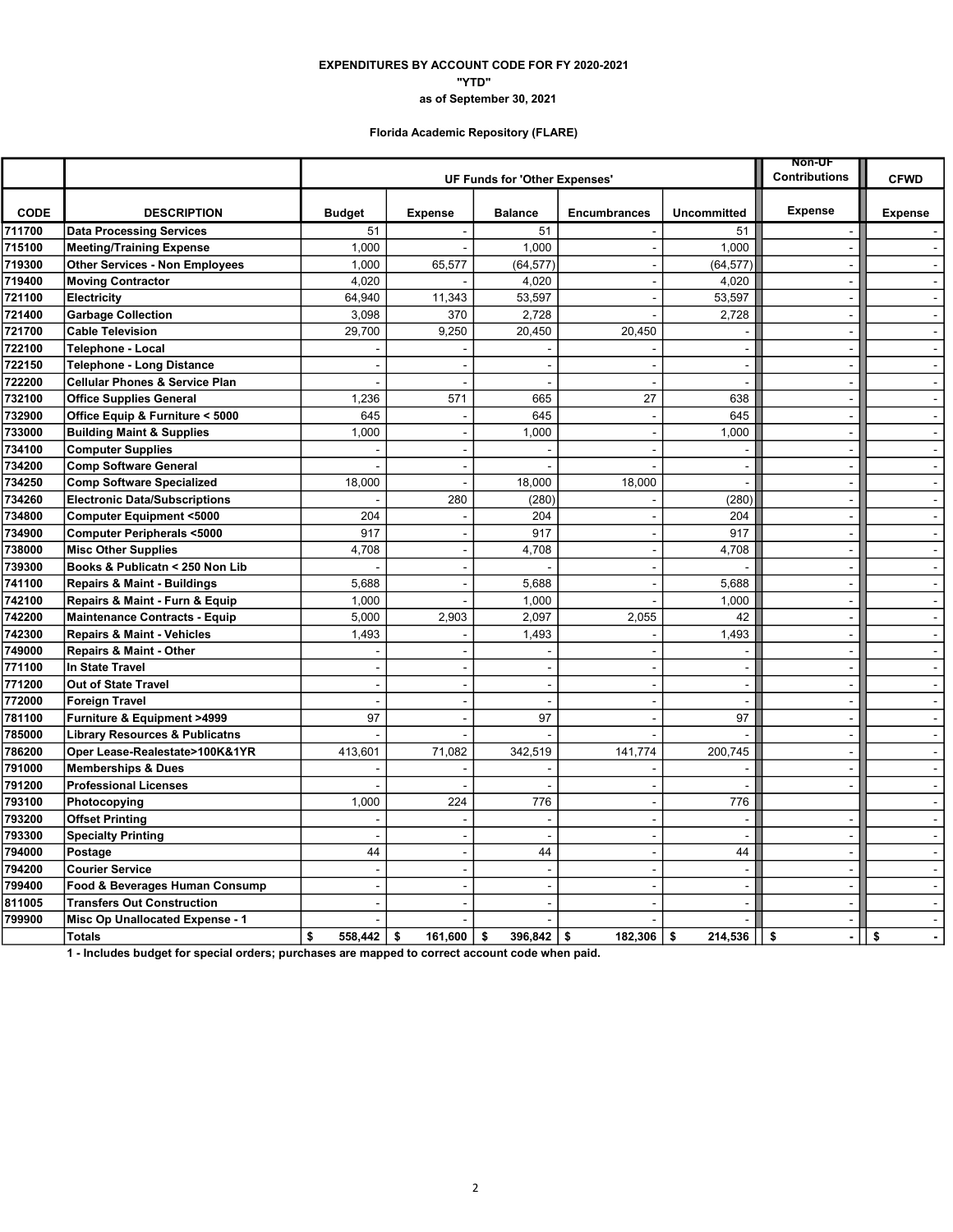### as of September 30, 2021 "YTD" EXPENDITURES BY ACCOUNT CODE FOR FY 2020-2021

# Florida Academic Repository (FLARE)

|             |                                           |                | <b>Non-UF</b>                 |                      |                          |                          |                          |                |
|-------------|-------------------------------------------|----------------|-------------------------------|----------------------|--------------------------|--------------------------|--------------------------|----------------|
|             |                                           |                | UF Funds for 'Other Expenses' | <b>Contributions</b> | <b>CFWD</b>              |                          |                          |                |
| <b>CODE</b> | <b>DESCRIPTION</b>                        | <b>Budget</b>  | <b>Expense</b>                | <b>Balance</b>       | <b>Encumbrances</b>      | <b>Uncommitted</b>       | <b>Expense</b>           | <b>Expense</b> |
| 711700      | <b>Data Processing Services</b>           | 51             |                               | 51                   |                          | 51                       |                          |                |
| 715100      | <b>Meeting/Training Expense</b>           | 1,000          |                               | 1,000                | $\blacksquare$           | 1,000                    | $\overline{a}$           | $\mathbf{u}$   |
| 719300      | <b>Other Services - Non Employees</b>     | 1,000          | 65,577                        | (64, 577)            | $\blacksquare$           | (64, 577)                | $\blacksquare$           | $\sim$         |
| 719400      | <b>Moving Contractor</b>                  | 4,020          |                               | 4,020                | $\overline{a}$           | 4,020                    | $\overline{a}$           | $\sim$         |
| 721100      | Electricity                               | 64.940         | 11,343                        | 53,597               | $\sim$                   | 53,597                   | $\sim$                   | $\mathbf{r}$   |
| 721400      | <b>Garbage Collection</b>                 | 3,098          | 370                           | 2,728                | $\sim$                   | 2,728                    | $\sim$                   | $\sim$         |
| 721700      | <b>Cable Television</b>                   | 29,700         | 9,250                         | 20,450               | 20,450                   |                          | ÷,                       |                |
| 722100      | Telephone - Local                         |                |                               |                      |                          | $\blacksquare$           | $\sim$                   | $\sim$         |
| 722150      | <b>Telephone - Long Distance</b>          |                |                               | ÷                    |                          | $\blacksquare$           | $\sim$                   | $\sim$         |
| 722200      | <b>Cellular Phones &amp; Service Plan</b> |                | J.                            | $\overline{a}$       | $\sim$                   | $\overline{\phantom{a}}$ | $\mathbf{r}$             | $\mathbb{R}^2$ |
| 732100      | <b>Office Supplies General</b>            | 1,236          | 571                           | 665                  | 27                       | 638                      | $\overline{a}$           | $\sim$         |
| 732900      | Office Equip & Furniture < 5000           | 645            |                               | 645                  | $\overline{\phantom{a}}$ | 645                      | $\sim$                   | $\sim$         |
| 733000      | <b>Building Maint &amp; Supplies</b>      | 1,000          | ÷,                            | 1,000                | $\blacksquare$           | 1,000                    | $\ddot{\phantom{a}}$     | $\blacksquare$ |
| 734100      | <b>Computer Supplies</b>                  |                | J.                            |                      |                          |                          |                          | $\sim$         |
| 734200      | <b>Comp Software General</b>              |                | $\sim$                        |                      | ÷.                       | $\sim$                   | $\sim$                   | $\sim$         |
| 734250      | <b>Comp Software Specialized</b>          | 18,000         | ÷,                            | 18,000               | 18,000                   | $\blacksquare$           | $\ddot{\phantom{a}}$     | $\blacksquare$ |
| 734260      | <b>Electronic Data/Subscriptions</b>      |                | 280                           | (280)                |                          | (280)                    | $\sim$                   | $\sim$         |
| 734800      | <b>Computer Equipment &lt;5000</b>        | 204            |                               | 204                  | ÷                        | 204                      | $\sim$                   | $\sim$         |
| 734900      | Computer Peripherals <5000                | 917            |                               | 917                  |                          | 917                      |                          | $\blacksquare$ |
| 738000      | <b>Misc Other Supplies</b>                | 4,708          | $\overline{\phantom{a}}$      | 4,708                | $\blacksquare$           | 4,708                    | $\blacksquare$           | $\sim$         |
| 739300      | Books & Publicatn < 250 Non Lib           |                | $\overline{\phantom{a}}$      |                      | $\overline{a}$           |                          | $\sim$                   | $\sim$         |
| 741100      | <b>Repairs &amp; Maint - Buildings</b>    | 5.688          | J.                            | 5,688                |                          | 5,688                    |                          | $\sim$         |
| 742100      | Repairs & Maint - Furn & Equip            | 1,000          |                               | 1,000                |                          | 1,000                    | $\overline{a}$           | $\omega$       |
| 742200      | <b>Maintenance Contracts - Equip</b>      | 5,000          | 2,903                         | 2,097                | 2,055                    | 42                       | $\sim$                   | $\mathbf{r}$   |
| 742300      | <b>Repairs &amp; Maint - Vehicles</b>     | 1,493          |                               | 1,493                |                          | 1,493                    | $\blacksquare$           | $\blacksquare$ |
| 749000      | Repairs & Maint - Other                   |                |                               |                      |                          |                          | $\blacksquare$           | $\sim$         |
| 771100      | <b>In State Travel</b>                    | $\overline{a}$ | ÷,                            | $\sim$               | ÷.                       | $\overline{\phantom{a}}$ | $\sim$                   | $\sim$         |
| 771200      | <b>Out of State Travel</b>                |                |                               |                      |                          | ÷,                       |                          | $\omega$       |
| 772000      | <b>Foreign Travel</b>                     |                | ÷,                            | $\sim$               | $\blacksquare$           | $\overline{\phantom{a}}$ | $\sim$                   | $\sim$         |
| 781100      | Furniture & Equipment >4999               | 97             | ÷,                            | 97                   | $\overline{a}$           | 97                       | $\blacksquare$           | $\sim$         |
| 785000      | <b>Library Resources &amp; Publicatns</b> |                |                               |                      |                          |                          | $\blacksquare$           | $\omega$       |
| 786200      | Oper Lease-Realestate>100K&1YR            | 413,601        | 71,082                        | 342,519              | 141,774                  | 200,745                  | $\overline{a}$           | $\sim$         |
| 791000      | <b>Memberships &amp; Dues</b>             |                |                               |                      |                          | $\sim$                   | $\sim$                   | $\sim$         |
| 791200      | <b>Professional Licenses</b>              |                |                               |                      |                          |                          | ÷.                       | $\sim$         |
| 793100      | Photocopying                              | 1,000          | 224                           | 776                  | $\sim$                   | 776                      |                          | $\sim$         |
| 793200      | <b>Offset Printing</b>                    |                |                               |                      |                          | ÷,                       |                          | $\blacksquare$ |
| 793300      | <b>Specialty Printing</b>                 |                | L.                            |                      | $\sim$                   | $\overline{\phantom{a}}$ | $\overline{a}$           | $\mathbf{u}$   |
| 794000      | Postage                                   | 44             | $\sim$                        | 44                   | $\overline{\phantom{a}}$ | 44                       | $\overline{\phantom{a}}$ | $\sim$         |
| 794200      | <b>Courier Service</b>                    | $\sim$         | $\sim$                        | $\sim$               | $\sim$                   | $\sim$                   | $\mathbf{r}$             | $\sim$         |
| 799400      | Food & Beverages Human Consump            |                | J.                            |                      |                          | $\overline{\phantom{a}}$ |                          | $\mathbf{r}$   |
| 811005      | <b>Transfers Out Construction</b>         |                |                               | ÷                    |                          | $\sim$                   | $\sim$                   | $\sim$         |
| 799900      | Misc Op Unallocated Expense - 1           |                |                               |                      |                          |                          |                          | $\blacksquare$ |
|             | <b>Totals</b>                             | \$<br>558,442  | \$<br>161,600                 | 396,842<br>\$        | 182,306<br>\$            | \$<br>214,536            | \$<br>$\blacksquare$     | \$<br>$\sim$   |

1 - Includes budget for special orders; purchases are mapped to correct account code when paid.